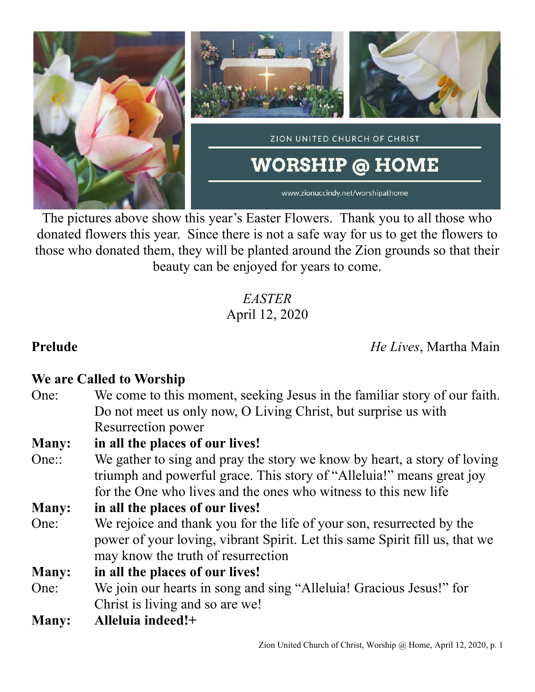

The pictures above show this year's Easter Flowers. Thank you to all those who donated flowers this year. Since there is not a safe way for us to get the flowers to those who donated them, they will be planted around the Zion grounds so that their beauty can be enjoyed for years to come.

> *EASTER* April 12, 2020

**Prelude** *He Lives*, Martha Main

## **We are Called to Worship**

One: We come to this moment, seeking Jesus in the familiar story of our faith. Do not meet us only now, O Living Christ, but surprise us with Resurrection power

### **Many: in all the places of our lives!**

One:: We gather to sing and pray the story we know by heart, a story of loving triumph and powerful grace. This story of "Alleluia!" means great joy for the One who lives and the ones who witness to this new life

### **Many: in all the places of our lives!**

One: We rejoice and thank you for the life of your son, resurrected by the power of your loving, vibrant Spirit. Let this same Spirit fill us, that we may know the truth of resurrection

**Many: in all the places of our lives!**

- One: We join our hearts in song and sing "Alleluia! Gracious Jesus!" for Christ is living and so are we!
- **Many: Alleluia indeed!+**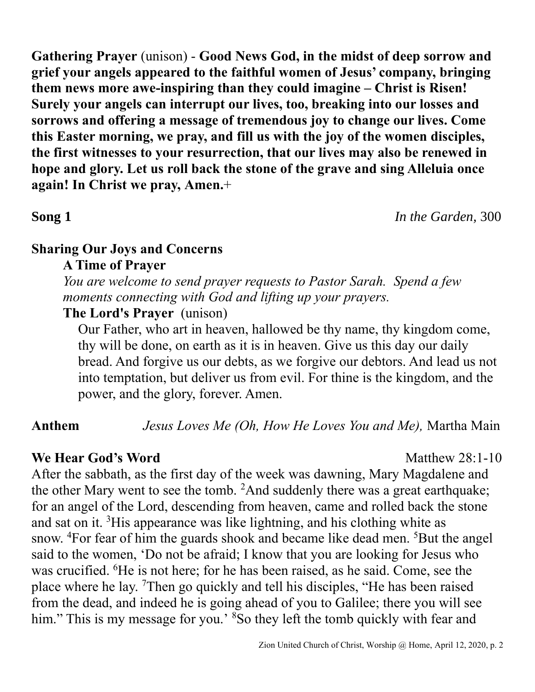**Gathering Prayer** (unison) - **Good News God, in the midst of deep sorrow and grief your angels appeared to the faithful women of Jesus' company, bringing them news more awe-inspiring than they could imagine – Christ is Risen! Surely your angels can interrupt our lives, too, breaking into our losses and sorrows and offering a message of tremendous joy to change our lives. Come this Easter morning, we pray, and fill us with the joy of the women disciples, the first witnesses to your resurrection, that our lives may also be renewed in hope and glory. Let us roll back the stone of the grave and sing Alleluia once again! In Christ we pray, Amen.**+

**Song 1** *In the Garden,* 300

### **Sharing Our Joys and Concerns A Time of Prayer**

*You are welcome to send prayer requests to Pastor Sarah. Spend a few moments connecting with God and lifting up your prayers.*

### **The Lord's Prayer** (unison)

Our Father, who art in heaven, hallowed be thy name, thy kingdom come, thy will be done, on earth as it is in heaven. Give us this day our daily bread. And forgive us our debts, as we forgive our debtors. And lead us not into temptation, but deliver us from evil. For thine is the kingdom, and the power, and the glory, forever. Amen.

**Anthem** *Jesus Loves Me (Oh, How He Loves You and Me),* Martha Main

### **We Hear God's Word** Matthew 28:1-10

After the sabbath, as the first day of the week was dawning, Mary Magdalene and the other Mary went to see the tomb.  ${}^{2}$ And suddenly there was a great earthquake; for an angel of the Lord, descending from heaven, came and rolled back the stone and sat on it.  ${}^{3}$ His appearance was like lightning, and his clothing white as snow. <sup>4</sup>For fear of him the guards shook and became like dead men. <sup>5</sup>But the angel said to the women, 'Do not be afraid; I know that you are looking for Jesus who was crucified. <sup>6</sup>He is not here; for he has been raised, as he said. Come, see the place where he lay. <sup>7</sup>Then go quickly and tell his disciples, "He has been raised from the dead, and indeed he is going ahead of you to Galilee; there you will see him." This is my message for you.' <sup>8</sup>So they left the tomb quickly with fear and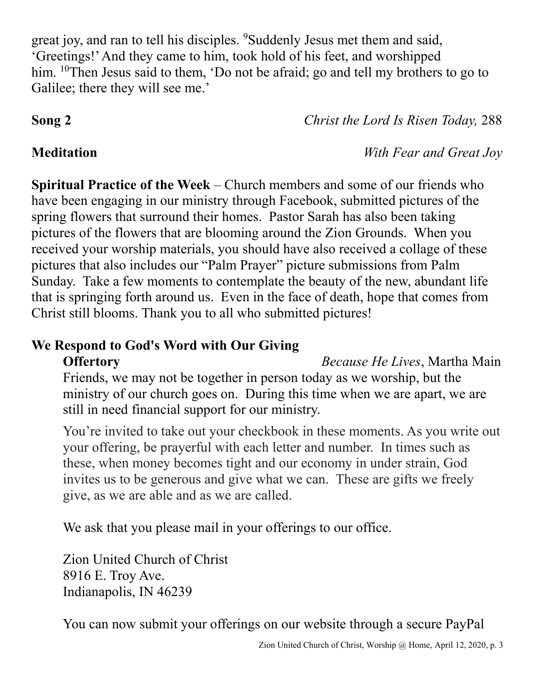great joy, and ran to tell his disciples. <sup>9</sup>Suddenly Jesus met them and said, 'Greetings!' And they came to him, took hold of his feet, and worshipped him. <sup>10</sup>Then Jesus said to them, 'Do not be afraid; go and tell my brothers to go to Galilee; there they will see me.'

**Song 2** *Christ the Lord Is Risen Today,* 288

**Meditation** *With Fear and Great Joy*

**Spiritual Practice of the Week** – Church members and some of our friends who have been engaging in our ministry through Facebook, submitted pictures of the spring flowers that surround their homes. Pastor Sarah has also been taking pictures of the flowers that are blooming around the Zion Grounds. When you received your worship materials, you should have also received a collage of these pictures that also includes our "Palm Prayer" picture submissions from Palm Sunday. Take a few moments to contemplate the beauty of the new, abundant life that is springing forth around us. Even in the face of death, hope that comes from Christ still blooms. Thank you to all who submitted pictures!

### **We Respond to God's Word with Our Giving Offertory** *Because He Lives*, Martha Main

Friends, we may not be together in person today as we worship, but the ministry of our church goes on. During this time when we are apart, we are still in need financial support for our ministry.

You're invited to take out your checkbook in these moments. As you write out your offering, be prayerful with each letter and number. In times such as these, when money becomes tight and our economy in under strain, God invites us to be generous and give what we can. These are gifts we freely give, as we are able and as we are called.

We ask that you please mail in your offerings to our office.

Zion United Church of Christ 8916 E. Troy Ave. Indianapolis, IN 46239

You can now submit your offerings on our website through a secure PayPal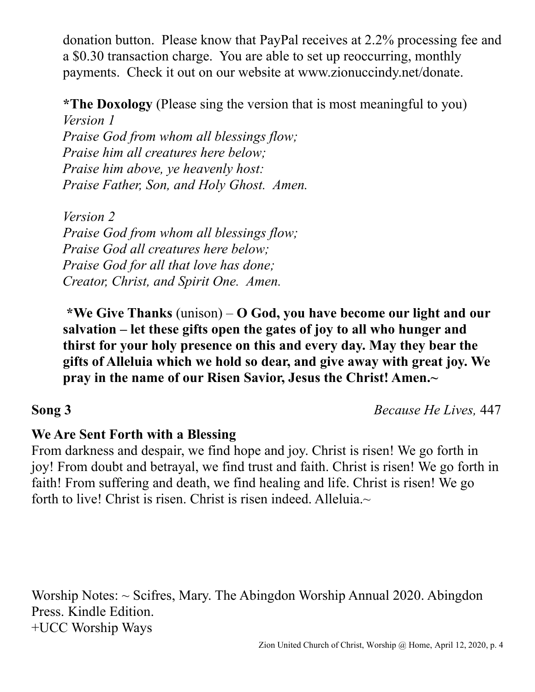donation button. Please know that PayPal receives at 2.2% processing fee and a \$0.30 transaction charge. You are able to set up reoccurring, monthly payments. Check it out on our website at www.zionuccindy.net/donate.

**\*The Doxology** (Please sing the version that is most meaningful to you) *Version 1*

*Praise God from whom all blessings flow; Praise him all creatures here below; Praise him above, ye heavenly host: Praise Father, Son, and Holy Ghost. Amen.*

*Version 2 Praise God from whom all blessings flow; Praise God all creatures here below; Praise God for all that love has done; Creator, Christ, and Spirit One. Amen.* 

**\*We Give Thanks** (unison) – **O God, you have become our light and our salvation – let these gifts open the gates of joy to all who hunger and thirst for your holy presence on this and every day. May they bear the gifts of Alleluia which we hold so dear, and give away with great joy. We pray in the name of our Risen Savior, Jesus the Christ! Amen.~**

**Song 3** *Because He Lives,* 447

## **We Are Sent Forth with a Blessing**

From darkness and despair, we find hope and joy. Christ is risen! We go forth in joy! From doubt and betrayal, we find trust and faith. Christ is risen! We go forth in faith! From suffering and death, we find healing and life. Christ is risen! We go forth to live! Christ is risen. Christ is risen indeed. Alleluia. $\sim$ 

Worship Notes: ~ Scifres, Mary. The Abingdon Worship Annual 2020. Abingdon Press. Kindle Edition. +UCC Worship Ways